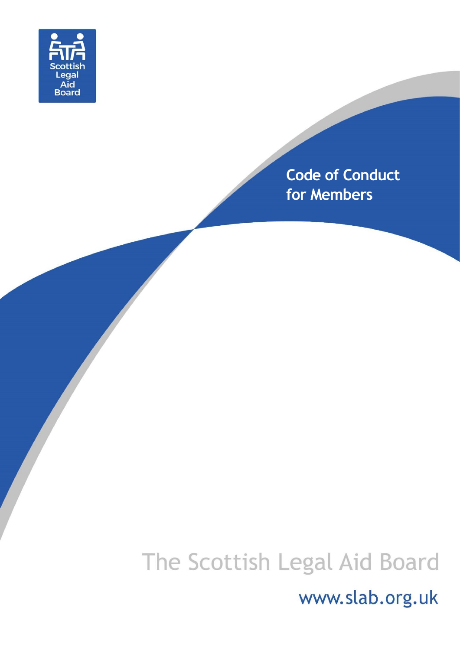

**Code of Conduct for Members**

# The Scottish Legal Aid Board

www.slab.org.uk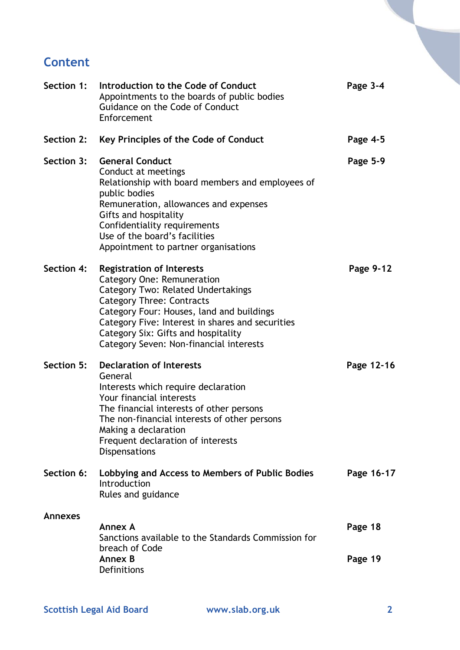# **Content**

| Section 1:     | Introduction to the Code of Conduct<br>Appointments to the boards of public bodies<br>Guidance on the Code of Conduct<br>Enforcement                                                                                                                                                                                               | Page 3-4   |
|----------------|------------------------------------------------------------------------------------------------------------------------------------------------------------------------------------------------------------------------------------------------------------------------------------------------------------------------------------|------------|
| Section 2:     | Key Principles of the Code of Conduct                                                                                                                                                                                                                                                                                              | Page 4-5   |
| Section 3:     | <b>General Conduct</b><br>Conduct at meetings<br>Relationship with board members and employees of<br>public bodies<br>Remuneration, allowances and expenses<br>Gifts and hospitality<br>Confidentiality requirements<br>Use of the board's facilities<br>Appointment to partner organisations                                      | Page 5-9   |
| Section 4:     | <b>Registration of Interests</b><br>Category One: Remuneration<br><b>Category Two: Related Undertakings</b><br><b>Category Three: Contracts</b><br>Category Four: Houses, land and buildings<br>Category Five: Interest in shares and securities<br>Category Six: Gifts and hospitality<br>Category Seven: Non-financial interests | Page 9-12  |
| Section 5:     | <b>Declaration of Interests</b><br>General<br>Interests which require declaration<br>Your financial interests<br>The financial interests of other persons<br>The non-financial interests of other persons<br>Making a declaration<br>Frequent declaration of interests<br><b>Dispensations</b>                                     | Page 12-16 |
| Section 6:     | Lobbying and Access to Members of Public Bodies<br>Introduction<br>Rules and guidance                                                                                                                                                                                                                                              | Page 16-17 |
| <b>Annexes</b> | <b>Annex A</b><br>Sanctions available to the Standards Commission for                                                                                                                                                                                                                                                              | Page 18    |
|                | breach of Code<br><b>Annex B</b><br>Definitions                                                                                                                                                                                                                                                                                    | Page 19    |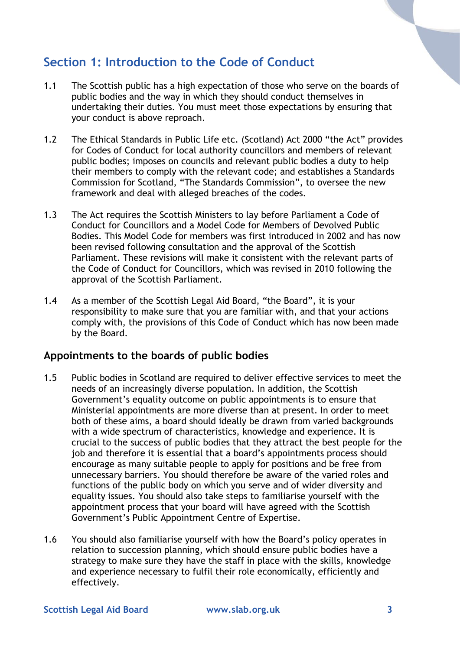# **Section 1: Introduction to the Code of Conduct**

- 1.1 The Scottish public has a high expectation of those who serve on the boards of public bodies and the way in which they should conduct themselves in undertaking their duties. You must meet those expectations by ensuring that your conduct is above reproach.
- 1.2 The Ethical Standards in Public Life etc. (Scotland) Act 2000 "the Act" provides for Codes of Conduct for local authority councillors and members of relevant public bodies; imposes on councils and relevant public bodies a duty to help their members to comply with the relevant code; and establishes a Standards Commission for Scotland, "The Standards Commission", to oversee the new framework and deal with alleged breaches of the codes.
- 1.3 The Act requires the Scottish Ministers to lay before Parliament a Code of Conduct for Councillors and a Model Code for Members of Devolved Public Bodies. This Model Code for members was first introduced in 2002 and has now been revised following consultation and the approval of the Scottish Parliament. These revisions will make it consistent with the relevant parts of the Code of Conduct for Councillors, which was revised in 2010 following the approval of the Scottish Parliament.
- 1.4 As a member of the Scottish Legal Aid Board, "the Board", it is your responsibility to make sure that you are familiar with, and that your actions comply with, the provisions of this Code of Conduct which has now been made by the Board.

### **Appointments to the boards of public bodies**

- 1.5 Public bodies in Scotland are required to deliver effective services to meet the needs of an increasingly diverse population. In addition, the Scottish Government's equality outcome on public appointments is to ensure that Ministerial appointments are more diverse than at present. In order to meet both of these aims, a board should ideally be drawn from varied backgrounds with a wide spectrum of characteristics, knowledge and experience. It is crucial to the success of public bodies that they attract the best people for the job and therefore it is essential that a board's appointments process should encourage as many suitable people to apply for positions and be free from unnecessary barriers. You should therefore be aware of the varied roles and functions of the public body on which you serve and of wider diversity and equality issues. You should also take steps to familiarise yourself with the appointment process that your board will have agreed with the Scottish Government's Public Appointment Centre of Expertise.
- 1.6 You should also familiarise yourself with how the Board's policy operates in relation to succession planning, which should ensure public bodies have a strategy to make sure they have the staff in place with the skills, knowledge and experience necessary to fulfil their role economically, efficiently and effectively.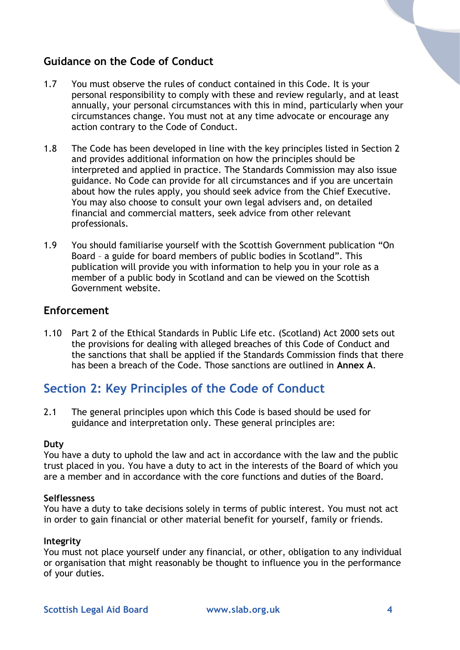### **Guidance on the Code of Conduct**

- 1.7 You must observe the rules of conduct contained in this Code. It is your personal responsibility to comply with these and review regularly, and at least annually, your personal circumstances with this in mind, particularly when your circumstances change. You must not at any time advocate or encourage any action contrary to the Code of Conduct.
- 1.8 The Code has been developed in line with the key principles listed in Section 2 and provides additional information on how the principles should be interpreted and applied in practice. The Standards Commission may also issue guidance. No Code can provide for all circumstances and if you are uncertain about how the rules apply, you should seek advice from the Chief Executive. You may also choose to consult your own legal advisers and, on detailed financial and commercial matters, seek advice from other relevant professionals.
- 1.9 You should familiarise yourself with the Scottish Government publication "On Board – a guide for board members of public bodies in Scotland". This publication will provide you with information to help you in your role as a member of a public body in Scotland and can be viewed on the Scottish Government website.

### **Enforcement**

1.10 Part 2 of the Ethical Standards in Public Life etc. (Scotland) Act 2000 sets out the provisions for dealing with alleged breaches of this Code of Conduct and the sanctions that shall be applied if the Standards Commission finds that there has been a breach of the Code. Those sanctions are outlined in **Annex A**.

# **Section 2: Key Principles of the Code of Conduct**

2.1 The general principles upon which this Code is based should be used for guidance and interpretation only. These general principles are:

### **Duty**

You have a duty to uphold the law and act in accordance with the law and the public trust placed in you. You have a duty to act in the interests of the Board of which you are a member and in accordance with the core functions and duties of the Board.

### **Selflessness**

You have a duty to take decisions solely in terms of public interest. You must not act in order to gain financial or other material benefit for yourself, family or friends.

### **Integrity**

You must not place yourself under any financial, or other, obligation to any individual or organisation that might reasonably be thought to influence you in the performance of your duties.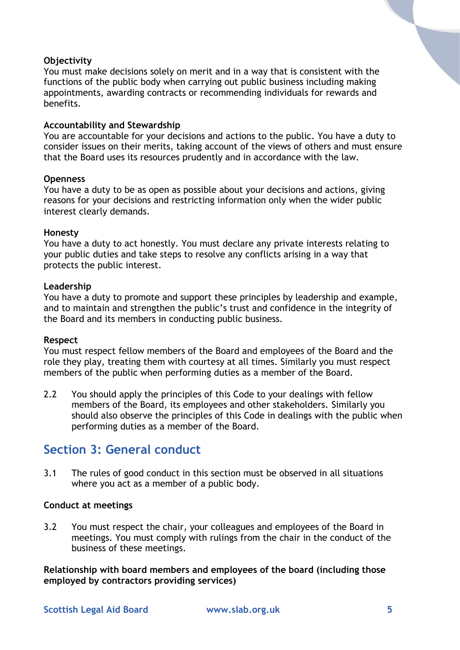### **Objectivity**

You must make decisions solely on merit and in a way that is consistent with the functions of the public body when carrying out public business including making appointments, awarding contracts or recommending individuals for rewards and benefits.

### **Accountability and Stewardship**

You are accountable for your decisions and actions to the public. You have a duty to consider issues on their merits, taking account of the views of others and must ensure that the Board uses its resources prudently and in accordance with the law.

### **Openness**

You have a duty to be as open as possible about your decisions and actions, giving reasons for your decisions and restricting information only when the wider public interest clearly demands.

#### **Honesty**

You have a duty to act honestly. You must declare any private interests relating to your public duties and take steps to resolve any conflicts arising in a way that protects the public interest.

### **Leadership**

You have a duty to promote and support these principles by leadership and example, and to maintain and strengthen the public's trust and confidence in the integrity of the Board and its members in conducting public business.

#### **Respect**

You must respect fellow members of the Board and employees of the Board and the role they play, treating them with courtesy at all times. Similarly you must respect members of the public when performing duties as a member of the Board.

2.2 You should apply the principles of this Code to your dealings with fellow members of the Board, its employees and other stakeholders. Similarly you should also observe the principles of this Code in dealings with the public when performing duties as a member of the Board.

### **Section 3: General conduct**

3.1 The rules of good conduct in this section must be observed in all situations where you act as a member of a public body.

#### **Conduct at meetings**

3.2 You must respect the chair, your colleagues and employees of the Board in meetings. You must comply with rulings from the chair in the conduct of the business of these meetings.

**Relationship with board members and employees of the board (including those employed by contractors providing services)**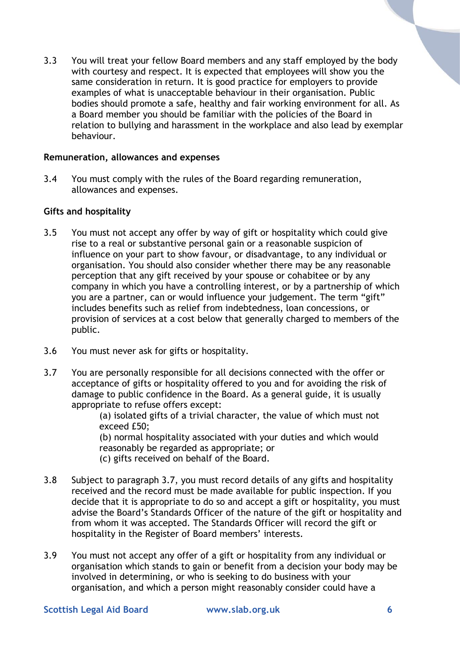3.3 You will treat your fellow Board members and any staff employed by the body with courtesy and respect. It is expected that employees will show you the same consideration in return. It is good practice for employers to provide examples of what is unacceptable behaviour in their organisation. Public bodies should promote a safe, healthy and fair working environment for all. As a Board member you should be familiar with the policies of the Board in relation to bullying and harassment in the workplace and also lead by exemplar behaviour.

### **Remuneration, allowances and expenses**

3.4 You must comply with the rules of the Board regarding remuneration, allowances and expenses.

### **Gifts and hospitality**

- 3.5 You must not accept any offer by way of gift or hospitality which could give rise to a real or substantive personal gain or a reasonable suspicion of influence on your part to show favour, or disadvantage, to any individual or organisation. You should also consider whether there may be any reasonable perception that any gift received by your spouse or cohabitee or by any company in which you have a controlling interest, or by a partnership of which you are a partner, can or would influence your judgement. The term "gift" includes benefits such as relief from indebtedness, loan concessions, or provision of services at a cost below that generally charged to members of the public.
- 3.6 You must never ask for gifts or hospitality.
- 3.7 You are personally responsible for all decisions connected with the offer or acceptance of gifts or hospitality offered to you and for avoiding the risk of damage to public confidence in the Board. As a general guide, it is usually appropriate to refuse offers except:

(a) isolated gifts of a trivial character, the value of which must not exceed £50;

(b) normal hospitality associated with your duties and which would reasonably be regarded as appropriate; or (c) gifts received on behalf of the Board.

- 3.8 Subject to paragraph 3.7, you must record details of any gifts and hospitality
- received and the record must be made available for public inspection. If you decide that it is appropriate to do so and accept a gift or hospitality, you must advise the Board's Standards Officer of the nature of the gift or hospitality and from whom it was accepted. The Standards Officer will record the gift or hospitality in the Register of Board members' interests.
- 3.9 You must not accept any offer of a gift or hospitality from any individual or organisation which stands to gain or benefit from a decision your body may be involved in determining, or who is seeking to do business with your organisation, and which a person might reasonably consider could have a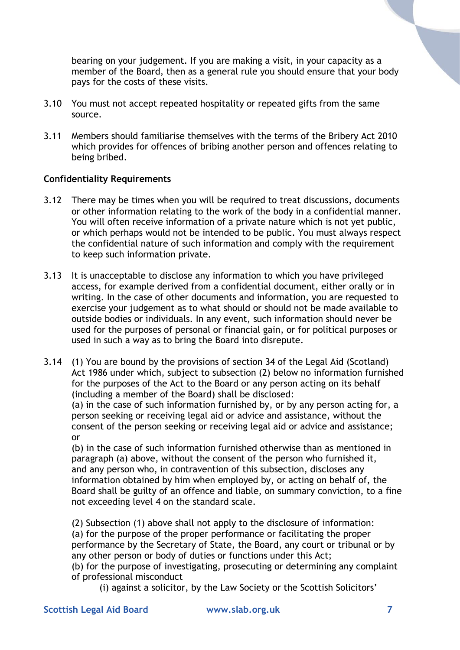bearing on your judgement. If you are making a visit, in your capacity as a member of the Board, then as a general rule you should ensure that your body pays for the costs of these visits.

- 3.10 You must not accept repeated hospitality or repeated gifts from the same source.
- 3.11 Members should familiarise themselves with the terms of the Bribery Act 2010 which provides for offences of bribing another person and offences relating to being bribed.

### **Confidentiality Requirements**

- 3.12 There may be times when you will be required to treat discussions, documents or other information relating to the work of the body in a confidential manner. You will often receive information of a private nature which is not yet public, or which perhaps would not be intended to be public. You must always respect the confidential nature of such information and comply with the requirement to keep such information private.
- 3.13 It is unacceptable to disclose any information to which you have privileged access, for example derived from a confidential document, either orally or in writing. In the case of other documents and information, you are requested to exercise your judgement as to what should or should not be made available to outside bodies or individuals. In any event, such information should never be used for the purposes of personal or financial gain, or for political purposes or used in such a way as to bring the Board into disrepute.

3.14 (1) You are bound by the provisions of section 34 of the Legal Aid (Scotland) Act 1986 under which, subject to subsection (2) below no information furnished for the purposes of the Act to the Board or any person acting on its behalf (including a member of the Board) shall be disclosed:

(a) in the case of such information furnished by, or by any person acting for, a person seeking or receiving legal aid or advice and assistance, without the consent of the person seeking or receiving legal aid or advice and assistance; or

(b) in the case of such information furnished otherwise than as mentioned in paragraph (a) above, without the consent of the person who furnished it, and any person who, in contravention of this subsection, discloses any information obtained by him when employed by, or acting on behalf of, the Board shall be guilty of an offence and liable, on summary conviction, to a fine not exceeding level 4 on the standard scale.

(2) Subsection (1) above shall not apply to the disclosure of information: (a) for the purpose of the proper performance or facilitating the proper performance by the Secretary of State, the Board, any court or tribunal or by any other person or body of duties or functions under this Act; (b) for the purpose of investigating, prosecuting or determining any complaint

(i) against a solicitor, by the Law Society or the Scottish Solicitors'

of professional misconduct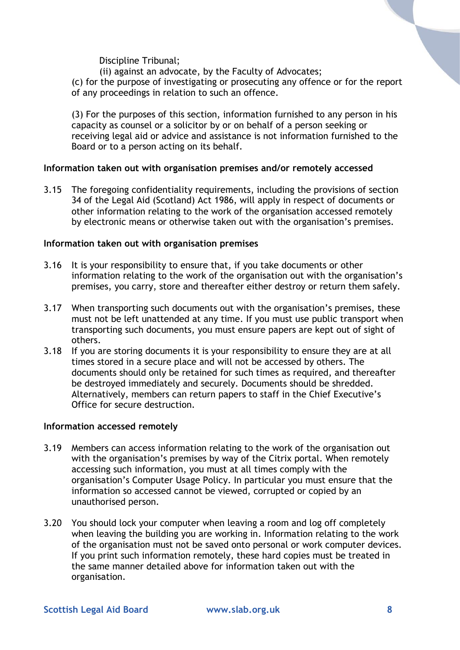Discipline Tribunal;

(ii) against an advocate, by the Faculty of Advocates; (c) for the purpose of investigating or prosecuting any offence or for the report of any proceedings in relation to such an offence.

(3) For the purposes of this section, information furnished to any person in his capacity as counsel or a solicitor by or on behalf of a person seeking or receiving legal aid or advice and assistance is not information furnished to the Board or to a person acting on its behalf.

### **Information taken out with organisation premises and/or remotely accessed**

3.15 The foregoing confidentiality requirements, including the provisions of section 34 of the Legal Aid (Scotland) Act 1986, will apply in respect of documents or other information relating to the work of the organisation accessed remotely by electronic means or otherwise taken out with the organisation's premises.

### **Information taken out with organisation premises**

- 3.16 It is your responsibility to ensure that, if you take documents or other information relating to the work of the organisation out with the organisation's premises, you carry, store and thereafter either destroy or return them safely.
- 3.17 When transporting such documents out with the organisation's premises, these must not be left unattended at any time. If you must use public transport when transporting such documents, you must ensure papers are kept out of sight of others.
- 3.18 If you are storing documents it is your responsibility to ensure they are at all times stored in a secure place and will not be accessed by others. The documents should only be retained for such times as required, and thereafter be destroyed immediately and securely. Documents should be shredded. Alternatively, members can return papers to staff in the Chief Executive's Office for secure destruction.

### **Information accessed remotely**

- 3.19 Members can access information relating to the work of the organisation out with the organisation's premises by way of the Citrix portal. When remotely accessing such information, you must at all times comply with the organisation's Computer Usage Policy. In particular you must ensure that the information so accessed cannot be viewed, corrupted or copied by an unauthorised person.
- 3.20 You should lock your computer when leaving a room and log off completely when leaving the building you are working in. Information relating to the work of the organisation must not be saved onto personal or work computer devices. If you print such information remotely, these hard copies must be treated in the same manner detailed above for information taken out with the organisation.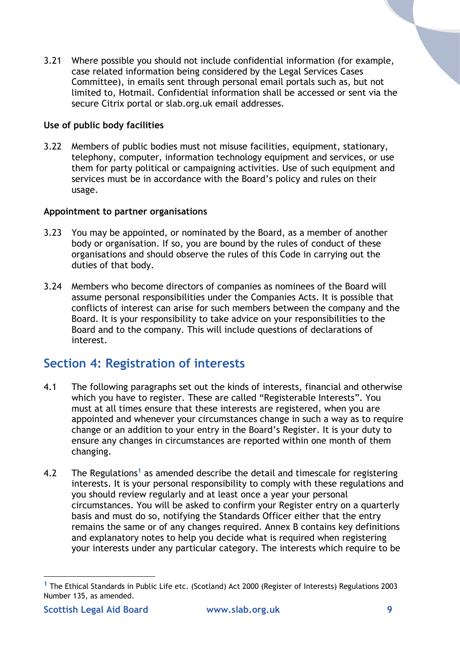3.21 Where possible you should not include confidential information (for example, case related information being considered by the Legal Services Cases Committee), in emails sent through personal email portals such as, but not limited to, Hotmail. Confidential information shall be accessed or sent via the secure Citrix portal or slab.org.uk email addresses.

### **Use of public body facilities**

3.22 Members of public bodies must not misuse facilities, equipment, stationary, telephony, computer, information technology equipment and services, or use them for party political or campaigning activities. Use of such equipment and services must be in accordance with the Board's policy and rules on their usage.

### **Appointment to partner organisations**

- 3.23 You may be appointed, or nominated by the Board, as a member of another body or organisation. If so, you are bound by the rules of conduct of these organisations and should observe the rules of this Code in carrying out the duties of that body.
- 3.24 Members who become directors of companies as nominees of the Board will assume personal responsibilities under the Companies Acts. It is possible that conflicts of interest can arise for such members between the company and the Board. It is your responsibility to take advice on your responsibilities to the Board and to the company. This will include questions of declarations of interest.

## **Section 4: Registration of interests**

- 4.1 The following paragraphs set out the kinds of interests, financial and otherwise which you have to register. These are called "Registerable Interests". You must at all times ensure that these interests are registered, when you are appointed and whenever your circumstances change in such a way as to require change or an addition to your entry in the Board's Register. It is your duty to ensure any changes in circumstances are reported within one month of them changing.
- 4.2 The Regulations**<sup>1</sup>** as amended describe the detail and timescale for registering interests. It is your personal responsibility to comply with these regulations and you should review regularly and at least once a year your personal circumstances. You will be asked to confirm your Register entry on a quarterly basis and must do so, notifying the Standards Officer either that the entry remains the same or of any changes required. Annex B contains key definitions and explanatory notes to help you decide what is required when registering your interests under any particular category. The interests which require to be

 $\overline{a}$ 

**<sup>1</sup>** The Ethical Standards in Public Life etc. (Scotland) Act 2000 (Register of Interests) Regulations 2003 Number 135, as amended.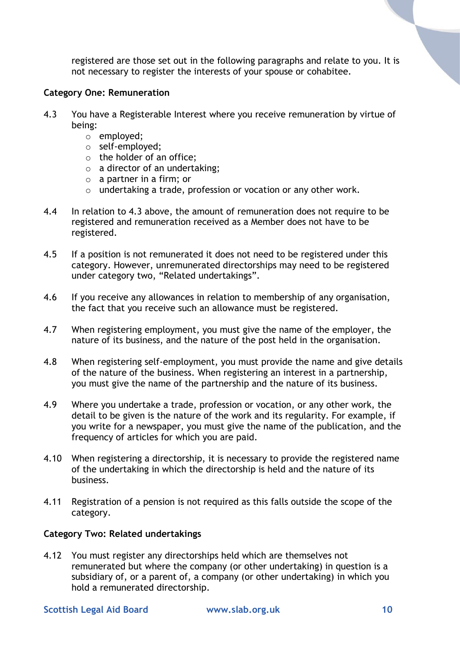registered are those set out in the following paragraphs and relate to you. It is not necessary to register the interests of your spouse or cohabitee.

### **Category One: Remuneration**

- 4.3 You have a Registerable Interest where you receive remuneration by virtue of being:
	- o employed;
	- o self-employed;
	- o the holder of an office;
	- $\circ$  a director of an undertaking;
	- o a partner in a firm; or
	- o undertaking a trade, profession or vocation or any other work.
- 4.4 In relation to 4.3 above, the amount of remuneration does not require to be registered and remuneration received as a Member does not have to be registered.
- 4.5 If a position is not remunerated it does not need to be registered under this category. However, unremunerated directorships may need to be registered under category two, "Related undertakings".
- 4.6 If you receive any allowances in relation to membership of any organisation, the fact that you receive such an allowance must be registered.
- 4.7 When registering employment, you must give the name of the employer, the nature of its business, and the nature of the post held in the organisation.
- 4.8 When registering self-employment, you must provide the name and give details of the nature of the business. When registering an interest in a partnership, you must give the name of the partnership and the nature of its business.
- 4.9 Where you undertake a trade, profession or vocation, or any other work, the detail to be given is the nature of the work and its regularity. For example, if you write for a newspaper, you must give the name of the publication, and the frequency of articles for which you are paid.
- 4.10 When registering a directorship, it is necessary to provide the registered name of the undertaking in which the directorship is held and the nature of its business.
- 4.11 Registration of a pension is not required as this falls outside the scope of the category.

### **Category Two: Related undertakings**

4.12 You must register any directorships held which are themselves not remunerated but where the company (or other undertaking) in question is a subsidiary of, or a parent of, a company (or other undertaking) in which you hold a remunerated directorship.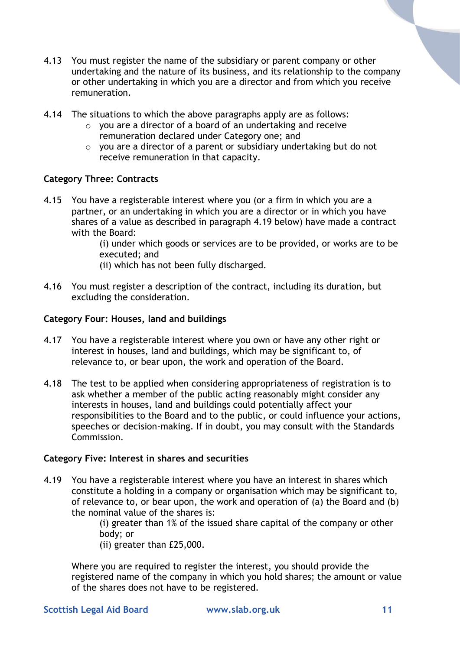- 4.13 You must register the name of the subsidiary or parent company or other undertaking and the nature of its business, and its relationship to the company or other undertaking in which you are a director and from which you receive remuneration.
- 4.14 The situations to which the above paragraphs apply are as follows:
	- o you are a director of a board of an undertaking and receive remuneration declared under Category one; and
	- o you are a director of a parent or subsidiary undertaking but do not receive remuneration in that capacity.

### **Category Three: Contracts**

4.15 You have a registerable interest where you (or a firm in which you are a partner, or an undertaking in which you are a director or in which you have shares of a value as described in paragraph 4.19 below) have made a contract with the Board:

(i) under which goods or services are to be provided, or works are to be executed; and

- (ii) which has not been fully discharged.
- 4.16 You must register a description of the contract, including its duration, but excluding the consideration.

### **Category Four: Houses, land and buildings**

- 4.17 You have a registerable interest where you own or have any other right or interest in houses, land and buildings, which may be significant to, of relevance to, or bear upon, the work and operation of the Board.
- 4.18 The test to be applied when considering appropriateness of registration is to ask whether a member of the public acting reasonably might consider any interests in houses, land and buildings could potentially affect your responsibilities to the Board and to the public, or could influence your actions, speeches or decision-making. If in doubt, you may consult with the Standards Commission.

### **Category Five: Interest in shares and securities**

4.19 You have a registerable interest where you have an interest in shares which constitute a holding in a company or organisation which may be significant to, of relevance to, or bear upon, the work and operation of (a) the Board and (b) the nominal value of the shares is:

> (i) greater than 1% of the issued share capital of the company or other body; or

(ii) greater than £25,000.

Where you are required to register the interest, you should provide the registered name of the company in which you hold shares; the amount or value of the shares does not have to be registered.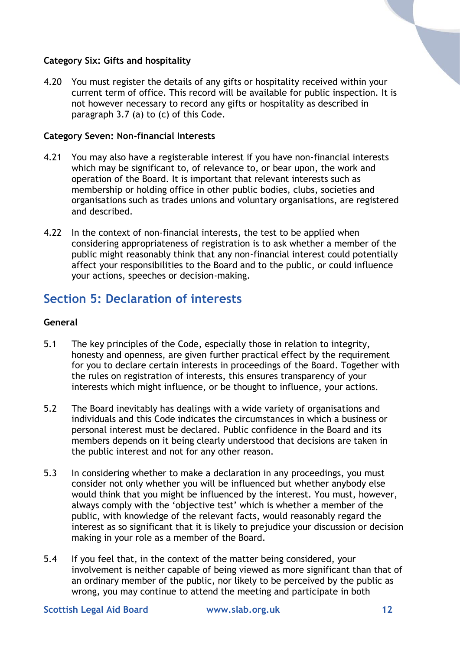### **Category Six: Gifts and hospitality**

4.20 You must register the details of any gifts or hospitality received within your current term of office. This record will be available for public inspection. It is not however necessary to record any gifts or hospitality as described in paragraph 3.7 (a) to (c) of this Code.

### **Category Seven: Non-financial Interests**

- 4.21 You may also have a registerable interest if you have non-financial interests which may be significant to, of relevance to, or bear upon, the work and operation of the Board. It is important that relevant interests such as membership or holding office in other public bodies, clubs, societies and organisations such as trades unions and voluntary organisations, are registered and described.
- 4.22 In the context of non-financial interests, the test to be applied when considering appropriateness of registration is to ask whether a member of the public might reasonably think that any non-financial interest could potentially affect your responsibilities to the Board and to the public, or could influence your actions, speeches or decision-making.

### **Section 5: Declaration of interests**

### **General**

- 5.1 The key principles of the Code, especially those in relation to integrity, honesty and openness, are given further practical effect by the requirement for you to declare certain interests in proceedings of the Board. Together with the rules on registration of interests, this ensures transparency of your interests which might influence, or be thought to influence, your actions.
- 5.2 The Board inevitably has dealings with a wide variety of organisations and individuals and this Code indicates the circumstances in which a business or personal interest must be declared. Public confidence in the Board and its members depends on it being clearly understood that decisions are taken in the public interest and not for any other reason.
- 5.3 In considering whether to make a declaration in any proceedings, you must consider not only whether you will be influenced but whether anybody else would think that you might be influenced by the interest. You must, however, always comply with the 'objective test' which is whether a member of the public, with knowledge of the relevant facts, would reasonably regard the interest as so significant that it is likely to prejudice your discussion or decision making in your role as a member of the Board.
- 5.4 If you feel that, in the context of the matter being considered, your involvement is neither capable of being viewed as more significant than that of an ordinary member of the public, nor likely to be perceived by the public as wrong, you may continue to attend the meeting and participate in both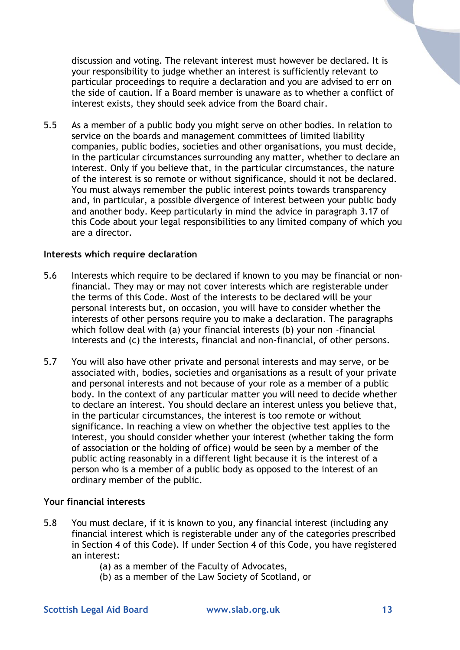discussion and voting. The relevant interest must however be declared. It is your responsibility to judge whether an interest is sufficiently relevant to particular proceedings to require a declaration and you are advised to err on the side of caution. If a Board member is unaware as to whether a conflict of interest exists, they should seek advice from the Board chair.

5.5 As a member of a public body you might serve on other bodies. In relation to service on the boards and management committees of limited liability companies, public bodies, societies and other organisations, you must decide, in the particular circumstances surrounding any matter, whether to declare an interest. Only if you believe that, in the particular circumstances, the nature of the interest is so remote or without significance, should it not be declared. You must always remember the public interest points towards transparency and, in particular, a possible divergence of interest between your public body and another body. Keep particularly in mind the advice in paragraph 3.17 of this Code about your legal responsibilities to any limited company of which you are a director.

### **Interests which require declaration**

- 5.6 Interests which require to be declared if known to you may be financial or nonfinancial. They may or may not cover interests which are registerable under the terms of this Code. Most of the interests to be declared will be your personal interests but, on occasion, you will have to consider whether the interests of other persons require you to make a declaration. The paragraphs which follow deal with (a) your financial interests (b) your non -financial interests and (c) the interests, financial and non-financial, of other persons.
- 5.7 You will also have other private and personal interests and may serve, or be associated with, bodies, societies and organisations as a result of your private and personal interests and not because of your role as a member of a public body. In the context of any particular matter you will need to decide whether to declare an interest. You should declare an interest unless you believe that, in the particular circumstances, the interest is too remote or without significance. In reaching a view on whether the objective test applies to the interest, you should consider whether your interest (whether taking the form of association or the holding of office) would be seen by a member of the public acting reasonably in a different light because it is the interest of a person who is a member of a public body as opposed to the interest of an ordinary member of the public.

#### **Your financial interests**

- 5.8 You must declare, if it is known to you, any financial interest (including any financial interest which is registerable under any of the categories prescribed in Section 4 of this Code). If under Section 4 of this Code, you have registered an interest:
	- (a) as a member of the Faculty of Advocates,
	- (b) as a member of the Law Society of Scotland, or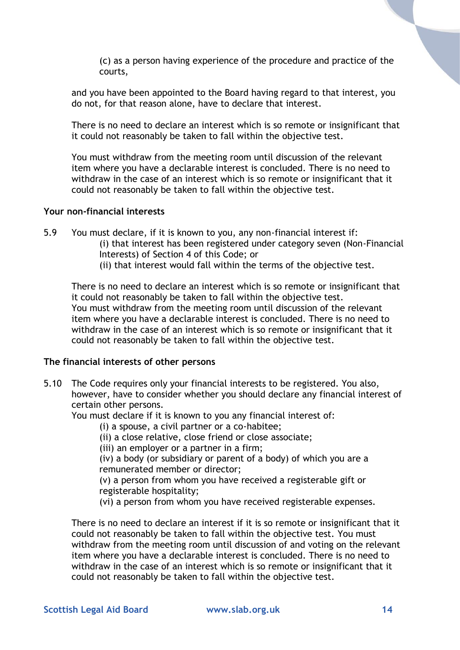(c) as a person having experience of the procedure and practice of the courts,

and you have been appointed to the Board having regard to that interest, you do not, for that reason alone, have to declare that interest.

There is no need to declare an interest which is so remote or insignificant that it could not reasonably be taken to fall within the objective test.

You must withdraw from the meeting room until discussion of the relevant item where you have a declarable interest is concluded. There is no need to withdraw in the case of an interest which is so remote or insignificant that it could not reasonably be taken to fall within the objective test.

### **Your non-financial interests**

5.9 You must declare, if it is known to you, any non-financial interest if: (i) that interest has been registered under category seven (Non-Financial Interests) of Section 4 of this Code; or

(ii) that interest would fall within the terms of the objective test.

There is no need to declare an interest which is so remote or insignificant that it could not reasonably be taken to fall within the objective test. You must withdraw from the meeting room until discussion of the relevant item where you have a declarable interest is concluded. There is no need to withdraw in the case of an interest which is so remote or insignificant that it could not reasonably be taken to fall within the objective test.

### **The financial interests of other persons**

5.10 The Code requires only your financial interests to be registered. You also, however, have to consider whether you should declare any financial interest of certain other persons.

You must declare if it is known to you any financial interest of:

(i) a spouse, a civil partner or a co-habitee;

(ii) a close relative, close friend or close associate;

(iii) an employer or a partner in a firm;

(iv) a body (or subsidiary or parent of a body) of which you are a remunerated member or director;

(v) a person from whom you have received a registerable gift or registerable hospitality;

(vi) a person from whom you have received registerable expenses.

There is no need to declare an interest if it is so remote or insignificant that it could not reasonably be taken to fall within the objective test. You must withdraw from the meeting room until discussion of and voting on the relevant item where you have a declarable interest is concluded. There is no need to withdraw in the case of an interest which is so remote or insignificant that it could not reasonably be taken to fall within the objective test.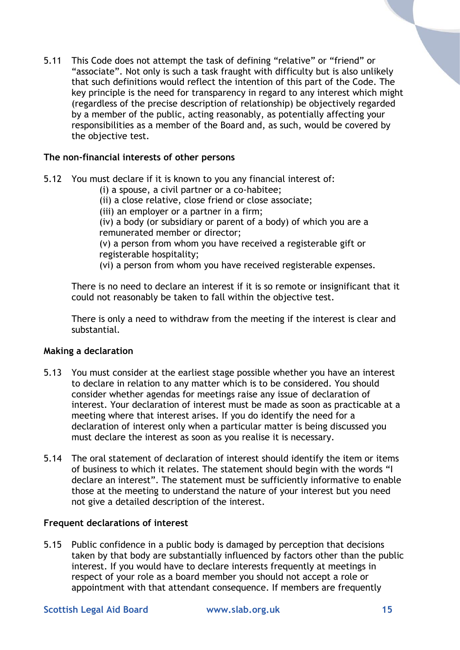5.11 This Code does not attempt the task of defining "relative" or "friend" or "associate". Not only is such a task fraught with difficulty but is also unlikely that such definitions would reflect the intention of this part of the Code. The key principle is the need for transparency in regard to any interest which might (regardless of the precise description of relationship) be objectively regarded by a member of the public, acting reasonably, as potentially affecting your responsibilities as a member of the Board and, as such, would be covered by the objective test.

### **The non-financial interests of other persons**

5.12 You must declare if it is known to you any financial interest of: (i) a spouse, a civil partner or a co-habitee; (ii) a close relative, close friend or close associate; (iii) an employer or a partner in a firm; (iv) a body (or subsidiary or parent of a body) of which you are a remunerated member or director; (v) a person from whom you have received a registerable gift or registerable hospitality; (vi) a person from whom you have received registerable expenses.

There is no need to declare an interest if it is so remote or insignificant that it could not reasonably be taken to fall within the objective test.

There is only a need to withdraw from the meeting if the interest is clear and substantial.

### **Making a declaration**

- 5.13 You must consider at the earliest stage possible whether you have an interest to declare in relation to any matter which is to be considered. You should consider whether agendas for meetings raise any issue of declaration of interest. Your declaration of interest must be made as soon as practicable at a meeting where that interest arises. If you do identify the need for a declaration of interest only when a particular matter is being discussed you must declare the interest as soon as you realise it is necessary.
- 5.14 The oral statement of declaration of interest should identify the item or items of business to which it relates. The statement should begin with the words "I declare an interest". The statement must be sufficiently informative to enable those at the meeting to understand the nature of your interest but you need not give a detailed description of the interest.

#### **Frequent declarations of interest**

5.15 Public confidence in a public body is damaged by perception that decisions taken by that body are substantially influenced by factors other than the public interest. If you would have to declare interests frequently at meetings in respect of your role as a board member you should not accept a role or appointment with that attendant consequence. If members are frequently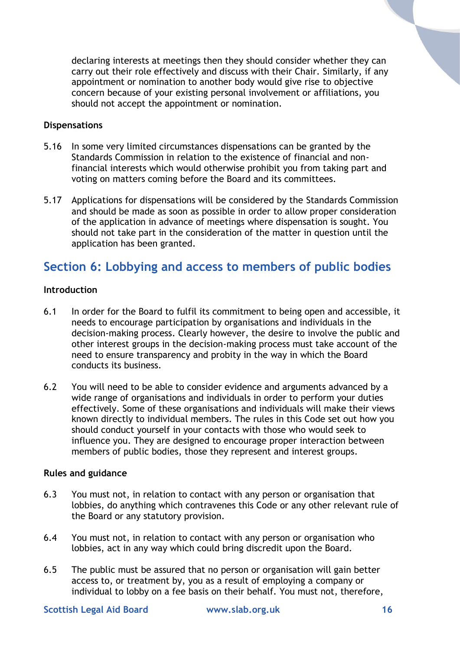declaring interests at meetings then they should consider whether they can carry out their role effectively and discuss with their Chair. Similarly, if any appointment or nomination to another body would give rise to objective concern because of your existing personal involvement or affiliations, you should not accept the appointment or nomination.

### **Dispensations**

- 5.16 In some very limited circumstances dispensations can be granted by the Standards Commission in relation to the existence of financial and nonfinancial interests which would otherwise prohibit you from taking part and voting on matters coming before the Board and its committees.
- 5.17 Applications for dispensations will be considered by the Standards Commission and should be made as soon as possible in order to allow proper consideration of the application in advance of meetings where dispensation is sought. You should not take part in the consideration of the matter in question until the application has been granted.

### **Section 6: Lobbying and access to members of public bodies**

### **Introduction**

- 6.1 In order for the Board to fulfil its commitment to being open and accessible, it needs to encourage participation by organisations and individuals in the decision-making process. Clearly however, the desire to involve the public and other interest groups in the decision-making process must take account of the need to ensure transparency and probity in the way in which the Board conducts its business.
- 6.2 You will need to be able to consider evidence and arguments advanced by a wide range of organisations and individuals in order to perform your duties effectively. Some of these organisations and individuals will make their views known directly to individual members. The rules in this Code set out how you should conduct yourself in your contacts with those who would seek to influence you. They are designed to encourage proper interaction between members of public bodies, those they represent and interest groups.

### **Rules and guidance**

- 6.3 You must not, in relation to contact with any person or organisation that lobbies, do anything which contravenes this Code or any other relevant rule of the Board or any statutory provision.
- 6.4 You must not, in relation to contact with any person or organisation who lobbies, act in any way which could bring discredit upon the Board.
- 6.5 The public must be assured that no person or organisation will gain better access to, or treatment by, you as a result of employing a company or individual to lobby on a fee basis on their behalf. You must not, therefore,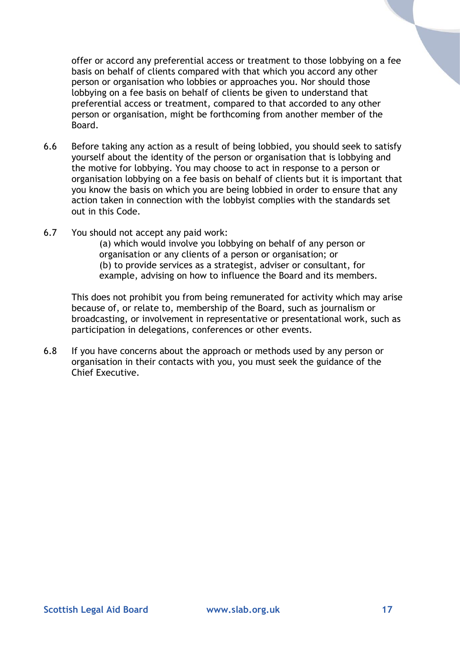offer or accord any preferential access or treatment to those lobbying on a fee basis on behalf of clients compared with that which you accord any other person or organisation who lobbies or approaches you. Nor should those lobbying on a fee basis on behalf of clients be given to understand that preferential access or treatment, compared to that accorded to any other person or organisation, might be forthcoming from another member of the Board.

- 6.6 Before taking any action as a result of being lobbied, you should seek to satisfy yourself about the identity of the person or organisation that is lobbying and the motive for lobbying. You may choose to act in response to a person or organisation lobbying on a fee basis on behalf of clients but it is important that you know the basis on which you are being lobbied in order to ensure that any action taken in connection with the lobbyist complies with the standards set out in this Code.
- 6.7 You should not accept any paid work: (a) which would involve you lobbying on behalf of any person or organisation or any clients of a person or organisation; or (b) to provide services as a strategist, adviser or consultant, for example, advising on how to influence the Board and its members.

This does not prohibit you from being remunerated for activity which may arise because of, or relate to, membership of the Board, such as journalism or broadcasting, or involvement in representative or presentational work, such as participation in delegations, conferences or other events.

6.8 If you have concerns about the approach or methods used by any person or organisation in their contacts with you, you must seek the guidance of the Chief Executive.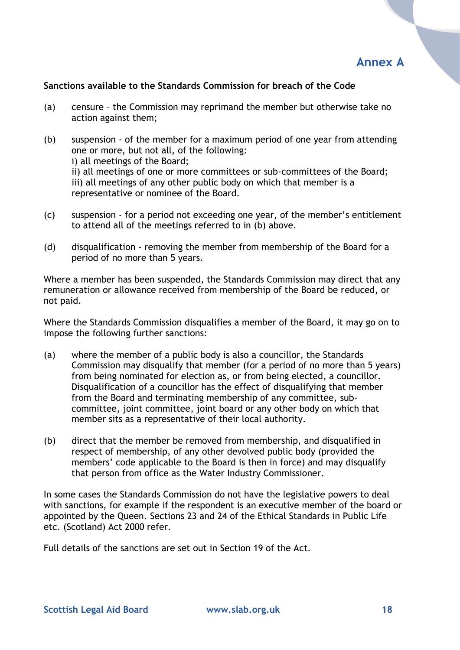### **Sanctions available to the Standards Commission for breach of the Code**

- (a) censure the Commission may reprimand the member but otherwise take no action against them;
- (b) suspension of the member for a maximum period of one year from attending one or more, but not all, of the following: i) all meetings of the Board; ii) all meetings of one or more committees or sub-committees of the Board; iii) all meetings of any other public body on which that member is a representative or nominee of the Board.
- (c) suspension for a period not exceeding one year, of the member's entitlement to attend all of the meetings referred to in (b) above.
- (d) disqualification removing the member from membership of the Board for a period of no more than 5 years.

Where a member has been suspended, the Standards Commission may direct that any remuneration or allowance received from membership of the Board be reduced, or not paid.

Where the Standards Commission disqualifies a member of the Board, it may go on to impose the following further sanctions:

- (a) where the member of a public body is also a councillor, the Standards Commission may disqualify that member (for a period of no more than 5 years) from being nominated for election as, or from being elected, a councillor. Disqualification of a councillor has the effect of disqualifying that member from the Board and terminating membership of any committee, subcommittee, joint committee, joint board or any other body on which that member sits as a representative of their local authority.
- (b) direct that the member be removed from membership, and disqualified in respect of membership, of any other devolved public body (provided the members' code applicable to the Board is then in force) and may disqualify that person from office as the Water Industry Commissioner.

In some cases the Standards Commission do not have the legislative powers to deal with sanctions, for example if the respondent is an executive member of the board or appointed by the Queen. Sections 23 and 24 of the Ethical Standards in Public Life etc. (Scotland) Act 2000 refer.

Full details of the sanctions are set out in Section 19 of the Act.